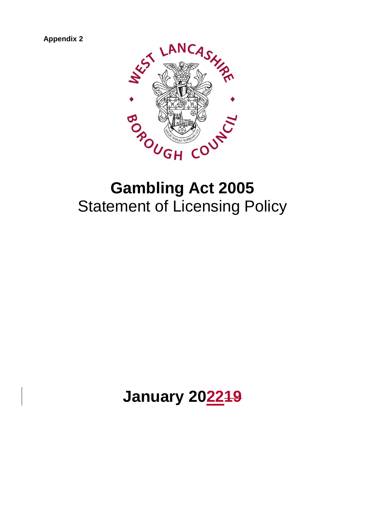**Appendix 2**



# **Gambling Act 2005** Statement of Licensing Policy

# **January 202219**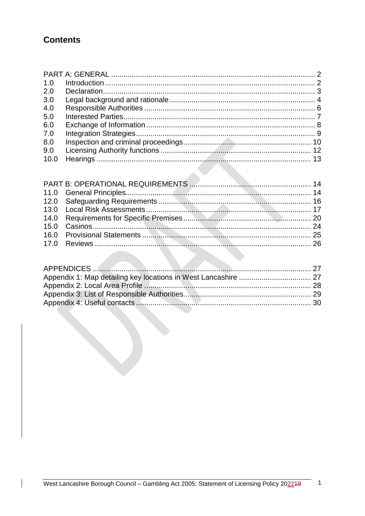# **Contents**

 $\overline{\phantom{a}}$ 

| 1.0 |  |
|-----|--|
| 2.0 |  |
| 3.0 |  |
| 4.0 |  |
| 5.0 |  |
| 6.0 |  |
| 7.0 |  |
| 8.0 |  |
| 9.0 |  |
|     |  |

 $-$  1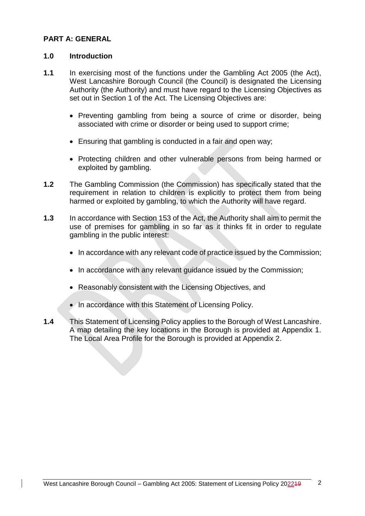# <span id="page-2-0"></span>**PART A: GENERAL**

#### <span id="page-2-1"></span>**1.0 Introduction**

- **1.1** In exercising most of the functions under the Gambling Act 2005 (the Act), West Lancashire Borough Council (the Council) is designated the Licensing Authority (the Authority) and must have regard to the Licensing Objectives as set out in Section 1 of the Act. The Licensing Objectives are:
	- Preventing gambling from being a source of crime or disorder, being associated with crime or disorder or being used to support crime;
	- Ensuring that gambling is conducted in a fair and open way;
	- Protecting children and other vulnerable persons from being harmed or exploited by gambling.
- **1.2** The Gambling Commission (the Commission) has specifically stated that the requirement in relation to children is explicitly to protect them from being harmed or exploited by gambling, to which the Authority will have regard.
- **1.3** In accordance with Section 153 of the Act, the Authority shall aim to permit the use of premises for gambling in so far as it thinks fit in order to regulate gambling in the public interest:
	- In accordance with any relevant code of practice issued by the Commission;
	- In accordance with any relevant guidance issued by the Commission;
	- Reasonably consistent with the Licensing Objectives, and
	- In accordance with this Statement of Licensing Policy.
- <span id="page-2-2"></span>**1.4** This Statement of Licensing Policy applies to the Borough of West Lancashire. A map detailing the key locations in the Borough is provided at Appendix 1. The Local Area Profile for the Borough is provided at Appendix 2.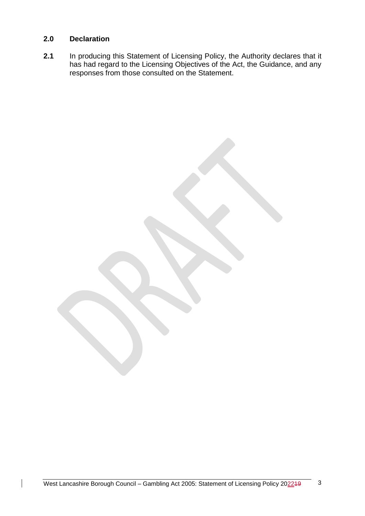### **2.0 Declaration**

**2.1** In producing this Statement of Licensing Policy, the Authority declares that it has had regard to the Licensing Objectives of the Act, the Guidance, and any responses from those consulted on the Statement.

West Lancashire Borough Council – Gambling Act 2005: Statement of Licensing Policy 202249 3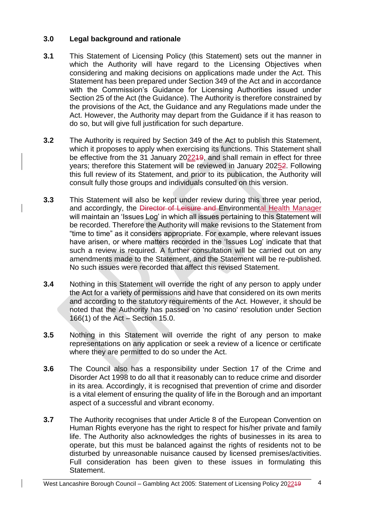# <span id="page-4-0"></span>**3.0 Legal background and rationale**

- **3.1** This Statement of Licensing Policy (this Statement) sets out the manner in which the Authority will have regard to the Licensing Objectives when considering and making decisions on applications made under the Act. This Statement has been prepared under Section 349 of the Act and in accordance with the Commission's Guidance for Licensing Authorities issued under Section 25 of the Act (the Guidance). The Authority is therefore constrained by the provisions of the Act, the Guidance and any Regulations made under the Act. However, the Authority may depart from the Guidance if it has reason to do so, but will give full justification for such departure.
- **3.2** The Authority is required by Section 349 of the Act to publish this Statement, which it proposes to apply when exercising its functions. This Statement shall be effective from the 31 January 202219, and shall remain in effect for three years; therefore this Statement will be reviewed in January 20252. Following this full review of its Statement, and prior to its publication, the Authority will consult fully those groups and individuals consulted on this version.
- **3.3** This Statement will also be kept under review during this three year period, and accordingly, the Director of Leisure and Environmental Health Manager will maintain an 'Issues Log' in which all issues pertaining to this Statement will be recorded. Therefore the Authority will make revisions to the Statement from "time to time" as it considers appropriate. For example, where relevant issues have arisen, or where matters recorded in the 'Issues Log' indicate that that such a review is required. A further consultation will be carried out on any amendments made to the Statement, and the Statement will be re-published. No such issues were recorded that affect this revised Statement.
- **3.4** Nothing in this Statement will override the right of any person to apply under the Act for a variety of permissions and have that considered on its own merits and according to the statutory requirements of the Act. However, it should be noted that the Authority has passed on 'no casino' resolution under Section 166(1) of the Act – Section 15.0.
- **3.5** Nothing in this Statement will override the right of any person to make representations on any application or seek a review of a licence or certificate where they are permitted to do so under the Act.
- **3.6** The Council also has a responsibility under Section 17 of the Crime and Disorder Act 1998 to do all that it reasonably can to reduce crime and disorder in its area. Accordingly, it is recognised that prevention of crime and disorder is a vital element of ensuring the quality of life in the Borough and an important aspect of a successful and vibrant economy.
- **3.7** The Authority recognises that under Article 8 of the European Convention on Human Rights everyone has the right to respect for his/her private and family life. The Authority also acknowledges the rights of businesses in its area to operate, but this must be balanced against the rights of residents not to be disturbed by unreasonable nuisance caused by licensed premises/activities. Full consideration has been given to these issues in formulating this Statement.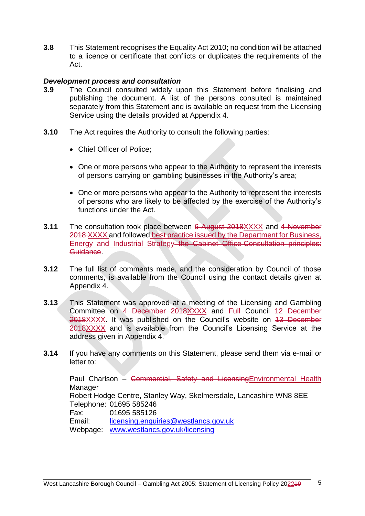**3.8** This Statement recognises the Equality Act 2010; no condition will be attached to a licence or certificate that conflicts or duplicates the requirements of the Act.

#### *Development process and consultation*

- **3.9** The Council consulted widely upon this Statement before finalising and publishing the document. A list of the persons consulted is maintained separately from this Statement and is available on request from the Licensing Service using the details provided at Appendix 4.
- **3.10** The Act requires the Authority to consult the following parties:
	- Chief Officer of Police;
	- One or more persons who appear to the Authority to represent the interests of persons carrying on gambling businesses in the Authority's area;
	- One or more persons who appear to the Authority to represent the interests of persons who are likely to be affected by the exercise of the Authority's functions under the Act.
- **3.11** The consultation took place between 6 August 2018XXXX and 4 November 2018 XXXX and followed best practice issued by the Department for Business, Energy and Industrial Strategy the Cabinet Office Consultation principles: Guidance.
- **3.12** The full list of comments made, and the consideration by Council of those comments, is available from the Council using the contact details given at Appendix 4.
- **3.13** This Statement was approved at a meeting of the Licensing and Gambling Committee on 4 December 2018XXXX and Full Council 12 December 2018XXXX. It was published on the Council's website on 13 December 2018XXXX and is available from the Council's Licensing Service at the address given in Appendix 4.
- **3.14** If you have any comments on this Statement, please send them via e-mail or letter to:

Paul Charlson – Commercial, Safety and LicensingEnvironmental Health **Manager** Robert Hodge Centre, Stanley Way, Skelmersdale, Lancashire WN8 8EE Telephone: 01695 585246 Fax: 01695 585126 Email: [licensing.enquiries@westlancs.gov.uk](mailto:licensing.enquiries@westlancs.gov.uk) Webpage: [www.westlancs.gov.uk/licensing](http://www.westlancs.gov.uk/licensing)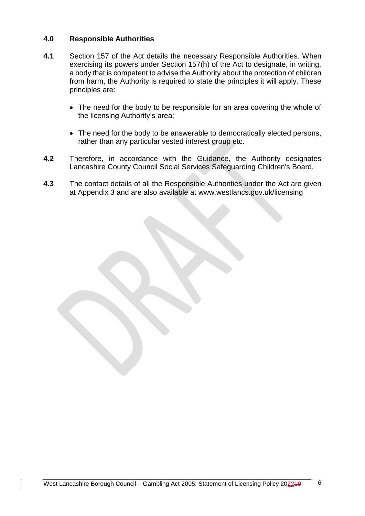## <span id="page-6-0"></span>**4.0 Responsible Authorities**

- **4.1** Section 157 of the Act details the necessary Responsible Authorities. When exercising its powers under Section 157(h) of the Act to designate, in writing, a body that is competent to advise the Authority about the protection of children from harm, the Authority is required to state the principles it will apply. These principles are:
	- The need for the body to be responsible for an area covering the whole of the licensing Authority's area;
	- The need for the body to be answerable to democratically elected persons, rather than any particular vested interest group etc.
- **4.2** Therefore, in accordance with the Guidance, the Authority designates Lancashire County Council Social Services Safeguarding Children's Board.
- <span id="page-6-1"></span>**4.3** The contact details of all the Responsible Authorities under the Act are given at Appendix 3 and are also available at [www.westlancs.gov.uk/licensing](http://www.westlancs.gov.uk/licensing)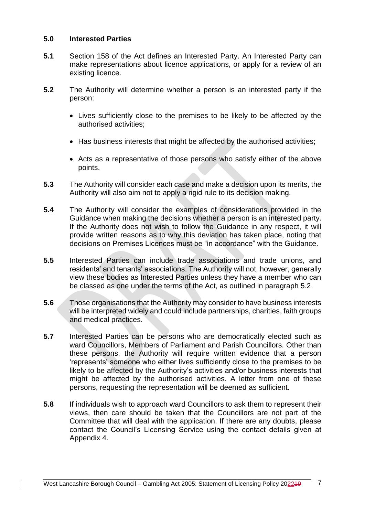### **5.0 Interested Parties**

- **5.1** Section 158 of the Act defines an Interested Party. An Interested Party can make representations about licence applications, or apply for a review of an existing licence.
- **5.2** The Authority will determine whether a person is an interested party if the person:
	- Lives sufficiently close to the premises to be likely to be affected by the authorised activities;
	- Has business interests that might be affected by the authorised activities;
	- Acts as a representative of those persons who satisfy either of the above points.
- **5.3** The Authority will consider each case and make a decision upon its merits, the Authority will also aim not to apply a rigid rule to its decision making.
- **5.4** The Authority will consider the examples of considerations provided in the Guidance when making the decisions whether a person is an interested party. If the Authority does not wish to follow the Guidance in any respect, it will provide written reasons as to why this deviation has taken place, noting that decisions on Premises Licences must be "in accordance" with the Guidance.
- **5.5** Interested Parties can include trade associations and trade unions, and residents' and tenants' associations. The Authority will not, however, generally view these bodies as Interested Parties unless they have a member who can be classed as one under the terms of the Act, as outlined in paragraph 5.2.
- **5.6** Those organisations that the Authority may consider to have business interests will be interpreted widely and could include partnerships, charities, faith groups and medical practices.
- **5.7** Interested Parties can be persons who are democratically elected such as ward Councillors, Members of Parliament and Parish Councillors. Other than these persons, the Authority will require written evidence that a person 'represents' someone who either lives sufficiently close to the premises to be likely to be affected by the Authority's activities and/or business interests that might be affected by the authorised activities. A letter from one of these persons, requesting the representation will be deemed as sufficient.
- **5.8** If individuals wish to approach ward Councillors to ask them to represent their views, then care should be taken that the Councillors are not part of the Committee that will deal with the application. If there are any doubts, please contact the Council's Licensing Service using the contact details given at Appendix 4.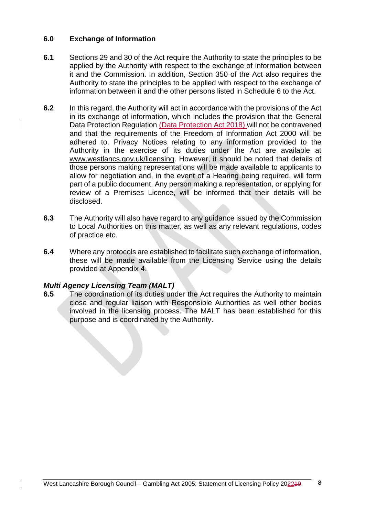## <span id="page-8-0"></span>**6.0 Exchange of Information**

- **6.1** Sections 29 and 30 of the Act require the Authority to state the principles to be applied by the Authority with respect to the exchange of information between it and the Commission. In addition, Section 350 of the Act also requires the Authority to state the principles to be applied with respect to the exchange of information between it and the other persons listed in Schedule 6 to the Act.
- **6.2** In this regard, the Authority will act in accordance with the provisions of the Act in its exchange of information, which includes the provision that the General Data Protection Regulation (Data Protection Act 2018) will not be contravened and that the requirements of the Freedom of Information Act 2000 will be adhered to. Privacy Notices relating to any information provided to the Authority in the exercise of its duties under the Act are available at www.westlancs.gov.uk/licensing. However, it should be noted that details of those persons making representations will be made available to applicants to allow for negotiation and, in the event of a Hearing being required, will form part of a public document. Any person making a representation, or applying for review of a Premises Licence, will be informed that their details will be disclosed.
- **6.3** The Authority will also have regard to any guidance issued by the Commission to Local Authorities on this matter, as well as any relevant regulations, codes of practice etc.
- **6.4** Where any protocols are established to facilitate such exchange of information, these will be made available from the Licensing Service using the details provided at Appendix 4.

#### *Multi Agency Licensing Team (MALT)*

**6.5** The coordination of its duties under the Act requires the Authority to maintain close and regular liaison with Responsible Authorities as well other bodies involved in the licensing process. The MALT has been established for this purpose and is coordinated by the Authority.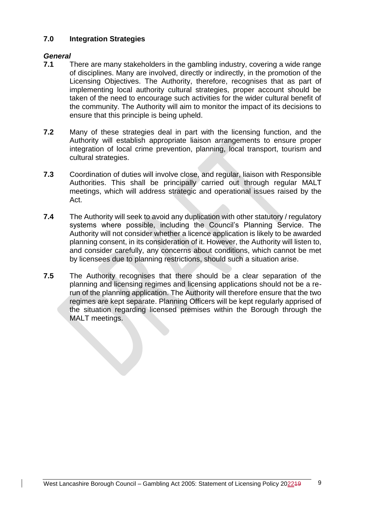# <span id="page-9-0"></span>**7.0 Integration Strategies**

# *General*

- **7.1** There are many stakeholders in the gambling industry, covering a wide range of disciplines. Many are involved, directly or indirectly, in the promotion of the Licensing Objectives. The Authority, therefore, recognises that as part of implementing local authority cultural strategies, proper account should be taken of the need to encourage such activities for the wider cultural benefit of the community. The Authority will aim to monitor the impact of its decisions to ensure that this principle is being upheld.
- **7.2** Many of these strategies deal in part with the licensing function, and the Authority will establish appropriate liaison arrangements to ensure proper integration of local crime prevention, planning, local transport, tourism and cultural strategies.
- **7.3** Coordination of duties will involve close, and regular, liaison with Responsible Authorities. This shall be principally carried out through regular MALT meetings, which will address strategic and operational issues raised by the Act.
- **7.4** The Authority will seek to avoid any duplication with other statutory / regulatory systems where possible, including the Council's Planning Service. The Authority will not consider whether a licence application is likely to be awarded planning consent, in its consideration of it. However, the Authority will listen to, and consider carefully, any concerns about conditions, which cannot be met by licensees due to planning restrictions, should such a situation arise.
- **7.5** The Authority recognises that there should be a clear separation of the planning and licensing regimes and licensing applications should not be a rerun of the planning application. The Authority will therefore ensure that the two regimes are kept separate. Planning Officers will be kept regularly apprised of the situation regarding licensed premises within the Borough through the MALT meetings.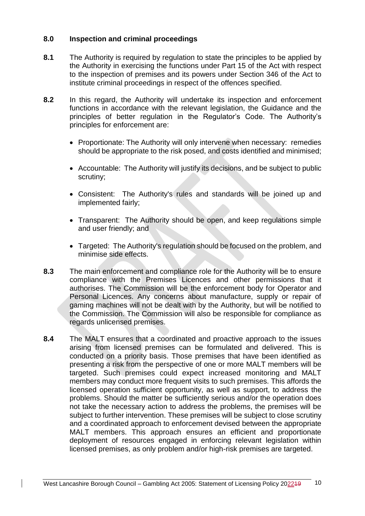## <span id="page-10-0"></span>**8.0 Inspection and criminal proceedings**

- **8.1** The Authority is required by regulation to state the principles to be applied by the Authority in exercising the functions under Part 15 of the Act with respect to the inspection of premises and its powers under Section 346 of the Act to institute criminal proceedings in respect of the offences specified.
- **8.2** In this regard, the Authority will undertake its inspection and enforcement functions in accordance with the relevant legislation, the Guidance and the principles of better regulation in the Regulator's Code. The Authority's principles for enforcement are:
	- Proportionate: The Authority will only intervene when necessary: remedies should be appropriate to the risk posed, and costs identified and minimised;
	- Accountable: The Authority will justify its decisions, and be subject to public scrutiny;
	- Consistent: The Authority's rules and standards will be joined up and implemented fairly;
	- Transparent: The Authority should be open, and keep regulations simple and user friendly; and
	- Targeted: The Authority's regulation should be focused on the problem, and minimise side effects.
- **8.3** The main enforcement and compliance role for the Authority will be to ensure compliance with the Premises Licences and other permissions that it authorises. The Commission will be the enforcement body for Operator and Personal Licences. Any concerns about manufacture, supply or repair of gaming machines will not be dealt with by the Authority, but will be notified to the Commission. The Commission will also be responsible for compliance as regards unlicensed premises.
- **8.4** The MALT ensures that a coordinated and proactive approach to the issues arising from licensed premises can be formulated and delivered. This is conducted on a priority basis. Those premises that have been identified as presenting a risk from the perspective of one or more MALT members will be targeted. Such premises could expect increased monitoring and MALT members may conduct more frequent visits to such premises. This affords the licensed operation sufficient opportunity, as well as support, to address the problems. Should the matter be sufficiently serious and/or the operation does not take the necessary action to address the problems, the premises will be subject to further intervention. These premises will be subject to close scrutiny and a coordinated approach to enforcement devised between the appropriate MALT members. This approach ensures an efficient and proportionate deployment of resources engaged in enforcing relevant legislation within licensed premises, as only problem and/or high-risk premises are targeted.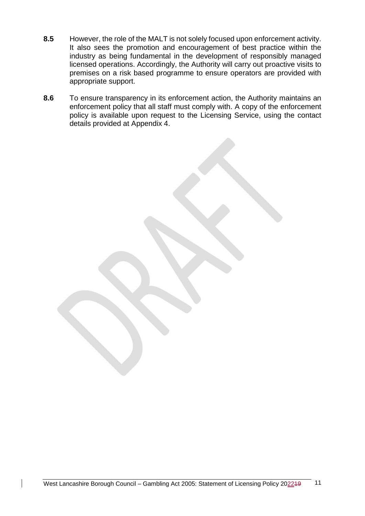- **8.5** However, the role of the MALT is not solely focused upon enforcement activity. It also sees the promotion and encouragement of best practice within the industry as being fundamental in the development of responsibly managed licensed operations. Accordingly, the Authority will carry out proactive visits to premises on a risk based programme to ensure operators are provided with appropriate support.
- **8.6** To ensure transparency in its enforcement action, the Authority maintains an enforcement policy that all staff must comply with. A copy of the enforcement policy is available upon request to the Licensing Service, using the contact details provided at Appendix 4.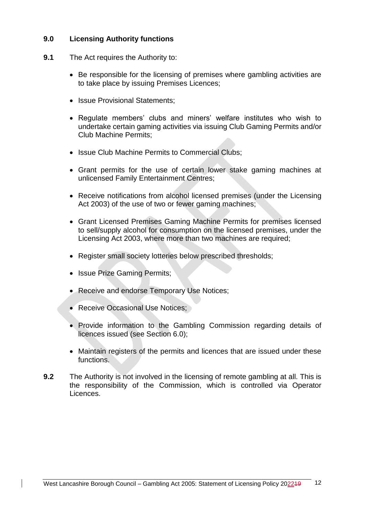# <span id="page-12-0"></span>**9.0 Licensing Authority functions**

- **9.1** The Act requires the Authority to:
	- Be responsible for the licensing of premises where gambling activities are to take place by issuing Premises Licences;
	- Issue Provisional Statements:
	- Regulate members' clubs and miners' welfare institutes who wish to undertake certain gaming activities via issuing Club Gaming Permits and/or Club Machine Permits;
	- Issue Club Machine Permits to Commercial Clubs:
	- Grant permits for the use of certain lower stake gaming machines at unlicensed Family Entertainment Centres;
	- Receive notifications from alcohol licensed premises (under the Licensing Act 2003) of the use of two or fewer gaming machines;
	- Grant Licensed Premises Gaming Machine Permits for premises licensed to sell/supply alcohol for consumption on the licensed premises, under the Licensing Act 2003, where more than two machines are required;
	- Register small society lotteries below prescribed thresholds:
	- Issue Prize Gaming Permits;
	- Receive and endorse Temporary Use Notices;
	- Receive Occasional Use Notices;
	- Provide information to the Gambling Commission regarding details of licences issued (see Section 6.0);
	- Maintain registers of the permits and licences that are issued under these functions.
- **9.2** The Authority is not involved in the licensing of remote gambling at all. This is the responsibility of the Commission, which is controlled via Operator Licences.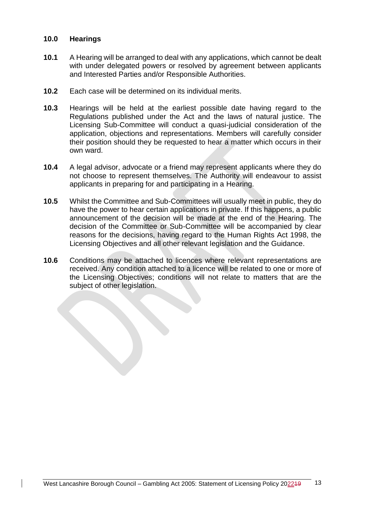#### <span id="page-13-0"></span>**10.0 Hearings**

- **10.1** A Hearing will be arranged to deal with any applications, which cannot be dealt with under delegated powers or resolved by agreement between applicants and Interested Parties and/or Responsible Authorities.
- **10.2** Each case will be determined on its individual merits.
- **10.3** Hearings will be held at the earliest possible date having regard to the Regulations published under the Act and the laws of natural justice. The Licensing Sub-Committee will conduct a quasi-judicial consideration of the application, objections and representations. Members will carefully consider their position should they be requested to hear a matter which occurs in their own ward.
- **10.4** A legal advisor, advocate or a friend may represent applicants where they do not choose to represent themselves. The Authority will endeavour to assist applicants in preparing for and participating in a Hearing.
- **10.5** Whilst the Committee and Sub-Committees will usually meet in public, they do have the power to hear certain applications in private. If this happens, a public announcement of the decision will be made at the end of the Hearing. The decision of the Committee or Sub-Committee will be accompanied by clear reasons for the decisions, having regard to the Human Rights Act 1998, the Licensing Objectives and all other relevant legislation and the Guidance.
- **10.6** Conditions may be attached to licences where relevant representations are received. Any condition attached to a licence will be related to one or more of the Licensing Objectives; conditions will not relate to matters that are the subject of other legislation.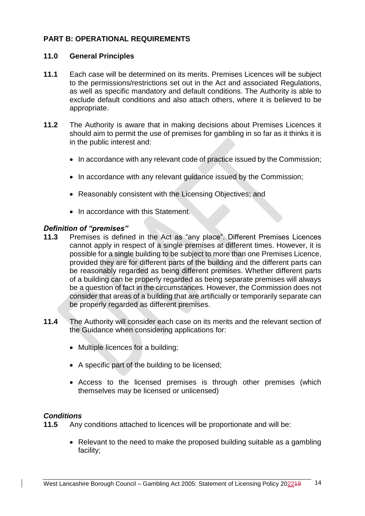# <span id="page-14-0"></span>**PART B: OPERATIONAL REQUIREMENTS**

#### <span id="page-14-1"></span>**11.0 General Principles**

- **11.1** Each case will be determined on its merits. Premises Licences will be subject to the permissions/restrictions set out in the Act and associated Regulations, as well as specific mandatory and default conditions. The Authority is able to exclude default conditions and also attach others, where it is believed to be appropriate.
- **11.2** The Authority is aware that in making decisions about Premises Licences it should aim to permit the use of premises for gambling in so far as it thinks it is in the public interest and:
	- In accordance with any relevant code of practice issued by the Commission:
	- In accordance with any relevant guidance issued by the Commission;
	- Reasonably consistent with the Licensing Objectives; and
	- In accordance with this Statement.

#### *Definition of "premises"*

- **11.3** Premises is defined in the Act as "any place". Different Premises Licences cannot apply in respect of a single premises at different times. However, it is possible for a single building to be subject to more than one Premises Licence, provided they are for different parts of the building and the different parts can be reasonably regarded as being different premises. Whether different parts of a building can be properly regarded as being separate premises will always be a question of fact in the circumstances. However, the Commission does not consider that areas of a building that are artificially or temporarily separate can be properly regarded as different premises.
- **11.4** The Authority will consider each case on its merits and the relevant section of the Guidance when considering applications for:
	- Multiple licences for a building;
	- A specific part of the building to be licensed;
	- Access to the licensed premises is through other premises (which themselves may be licensed or unlicensed)

#### *Conditions*

**11.5** Any conditions attached to licences will be proportionate and will be:

• Relevant to the need to make the proposed building suitable as a gambling facility;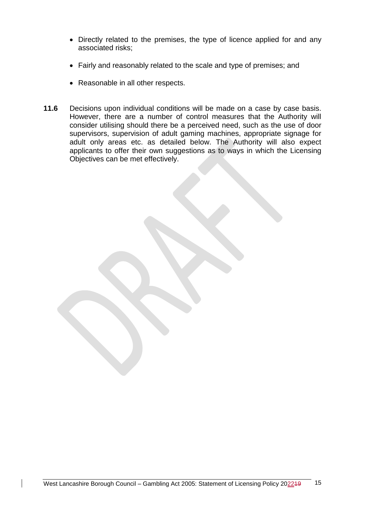- Directly related to the premises, the type of licence applied for and any associated risks;
- Fairly and reasonably related to the scale and type of premises; and
- Reasonable in all other respects.
- <span id="page-15-0"></span>**11.6** Decisions upon individual conditions will be made on a case by case basis. However, there are a number of control measures that the Authority will consider utilising should there be a perceived need, such as the use of door supervisors, supervision of adult gaming machines, appropriate signage for adult only areas etc. as detailed below. The Authority will also expect applicants to offer their own suggestions as to ways in which the Licensing Objectives can be met effectively.

West Lancashire Borough Council – Gambling Act 2005: Statement of Licensing Policy 202249 15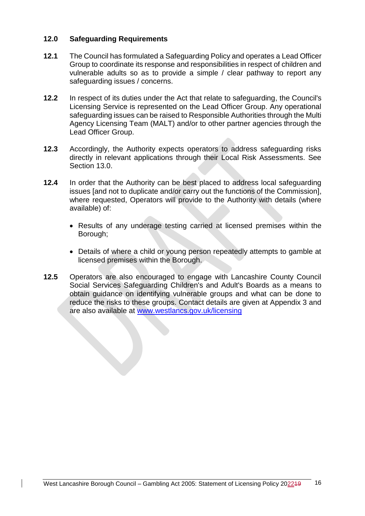## **12.0 Safeguarding Requirements**

- **12.1** The Council has formulated a Safeguarding Policy and operates a Lead Officer Group to coordinate its response and responsibilities in respect of children and vulnerable adults so as to provide a simple / clear pathway to report any safeguarding issues / concerns.
- **12.2** In respect of its duties under the Act that relate to safeguarding, the Council's Licensing Service is represented on the Lead Officer Group. Any operational safeguarding issues can be raised to Responsible Authorities through the Multi Agency Licensing Team (MALT) and/or to other partner agencies through the Lead Officer Group.
- **12.3** Accordingly, the Authority expects operators to address safeguarding risks directly in relevant applications through their Local Risk Assessments. See Section 13.0.
- **12.4** In order that the Authority can be best placed to address local safeguarding issues [and not to duplicate and/or carry out the functions of the Commission], where requested, Operators will provide to the Authority with details (where available) of:
	- Results of any underage testing carried at licensed premises within the Borough;
	- Details of where a child or young person repeatedly attempts to gamble at licensed premises within the Borough.
- **12.5** Operators are also encouraged to engage with Lancashire County Council Social Services Safeguarding Children's and Adult's Boards as a means to obtain guidance on identifying vulnerable groups and what can be done to reduce the risks to these groups. Contact details are given at Appendix 3 and are also available at [www.westlancs.gov.uk/licensing](http://www.westlancs.gov.uk/licensing)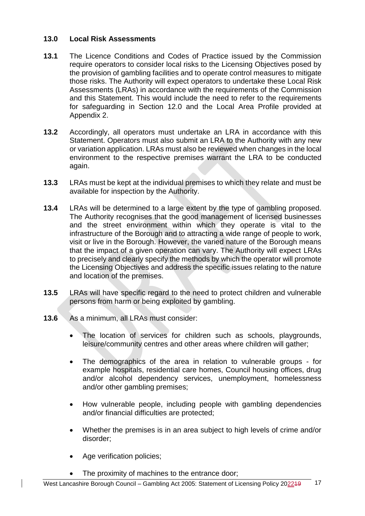# <span id="page-17-0"></span>**13.0 Local Risk Assessments**

- **13.1** The Licence Conditions and Codes of Practice issued by the Commission require operators to consider local risks to the Licensing Objectives posed by the provision of gambling facilities and to operate control measures to mitigate those risks. The Authority will expect operators to undertake these Local Risk Assessments (LRAs) in accordance with the requirements of the Commission and this Statement. This would include the need to refer to the requirements for safeguarding in Section 12.0 and the Local Area Profile provided at Appendix 2.
- **13.2** Accordingly, all operators must undertake an LRA in accordance with this Statement. Operators must also submit an LRA to the Authority with any new or variation application. LRAs must also be reviewed when changes in the local environment to the respective premises warrant the LRA to be conducted again.
- **13.3** LRAs must be kept at the individual premises to which they relate and must be available for inspection by the Authority.
- **13.4** LRAs will be determined to a large extent by the type of gambling proposed. The Authority recognises that the good management of licensed businesses and the street environment within which they operate is vital to the infrastructure of the Borough and to attracting a wide range of people to work, visit or live in the Borough. However, the varied nature of the Borough means that the impact of a given operation can vary. The Authority will expect LRAs to precisely and clearly specify the methods by which the operator will promote the Licensing Objectives and address the specific issues relating to the nature and location of the premises.
- **13.5** LRAs will have specific regard to the need to protect children and vulnerable persons from harm or being exploited by gambling.
- **13.6** As a minimum, all LRAs must consider:
	- The location of services for children such as schools, playgrounds, leisure/community centres and other areas where children will gather;
	- The demographics of the area in relation to vulnerable groups for example hospitals, residential care homes, Council housing offices, drug and/or alcohol dependency services, unemployment, homelessness and/or other gambling premises;
	- How vulnerable people, including people with gambling dependencies and/or financial difficulties are protected;
	- Whether the premises is in an area subject to high levels of crime and/or disorder;
	- Age verification policies;
	- The proximity of machines to the entrance door;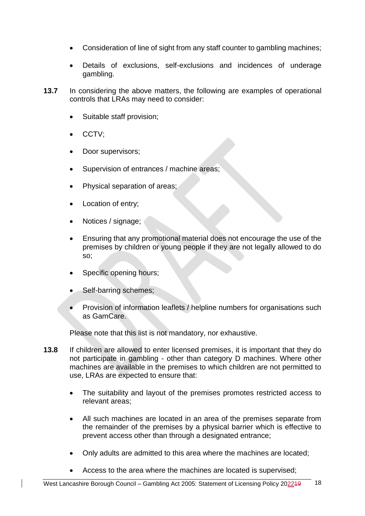- Consideration of line of sight from any staff counter to gambling machines;
- Details of exclusions, self-exclusions and incidences of underage gambling.
- **13.7** In considering the above matters, the following are examples of operational controls that LRAs may need to consider:
	- Suitable staff provision;
	- CCTV;
	- Door supervisors;
	- Supervision of entrances / machine areas;
	- Physical separation of areas;
	- Location of entry;
	- Notices / signage;
	- Ensuring that any promotional material does not encourage the use of the premises by children or young people if they are not legally allowed to do so;
	- Specific opening hours;
	- Self-barring schemes;
	- Provision of information leaflets / helpline numbers for organisations such as GamCare.

Please note that this list is not mandatory, nor exhaustive.

- **13.8** If children are allowed to enter licensed premises, it is important that they do not participate in gambling - other than category D machines. Where other machines are available in the premises to which children are not permitted to use, LRAs are expected to ensure that:
	- The suitability and layout of the premises promotes restricted access to relevant areas;
	- All such machines are located in an area of the premises separate from the remainder of the premises by a physical barrier which is effective to prevent access other than through a designated entrance;
	- Only adults are admitted to this area where the machines are located;
	- Access to the area where the machines are located is supervised;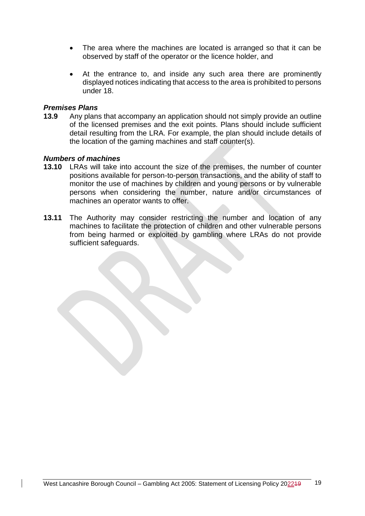- The area where the machines are located is arranged so that it can be observed by staff of the operator or the licence holder, and
- At the entrance to, and inside any such area there are prominently displayed notices indicating that access to the area is prohibited to persons under 18.

#### *Premises Plans*

**13.9** Any plans that accompany an application should not simply provide an outline of the licensed premises and the exit points. Plans should include sufficient detail resulting from the LRA. For example, the plan should include details of the location of the gaming machines and staff counter(s).

#### *Numbers of machines*

- **13.10** LRAs will take into account the size of the premises, the number of counter positions available for person-to-person transactions, and the ability of staff to monitor the use of machines by children and young persons or by vulnerable persons when considering the number, nature and/or circumstances of machines an operator wants to offer.
- **13.11** The Authority may consider restricting the number and location of any machines to facilitate the protection of children and other vulnerable persons from being harmed or exploited by gambling where LRAs do not provide sufficient safeguards.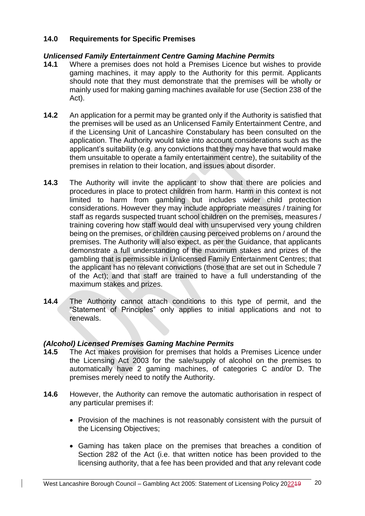# <span id="page-20-0"></span>**14.0 Requirements for Specific Premises**

## *Unlicensed Family Entertainment Centre Gaming Machine Permits*

- **14.1** Where a premises does not hold a Premises Licence but wishes to provide gaming machines, it may apply to the Authority for this permit. Applicants should note that they must demonstrate that the premises will be wholly or mainly used for making gaming machines available for use (Section 238 of the Act).
- **14.2** An application for a permit may be granted only if the Authority is satisfied that the premises will be used as an Unlicensed Family Entertainment Centre, and if the Licensing Unit of Lancashire Constabulary has been consulted on the application. The Authority would take into account considerations such as the applicant's suitability (e.g. any convictions that they may have that would make them unsuitable to operate a family entertainment centre), the suitability of the premises in relation to their location, and issues about disorder.
- **14.3** The Authority will invite the applicant to show that there are policies and procedures in place to protect children from harm. Harm in this context is not limited to harm from gambling but includes wider child protection considerations. However they may include appropriate measures / training for staff as regards suspected truant school children on the premises, measures / training covering how staff would deal with unsupervised very young children being on the premises, or children causing perceived problems on / around the premises. The Authority will also expect, as per the Guidance, that applicants demonstrate a full understanding of the maximum stakes and prizes of the gambling that is permissible in Unlicensed Family Entertainment Centres; that the applicant has no relevant convictions (those that are set out in Schedule 7 of the Act); and that staff are trained to have a full understanding of the maximum stakes and prizes.
- **14.4** The Authority cannot attach conditions to this type of permit, and the "Statement of Principles" only applies to initial applications and not to renewals.

# *(Alcohol) Licensed Premises Gaming Machine Permits*

- **14.5** The Act makes provision for premises that holds a Premises Licence under the Licensing Act 2003 for the sale/supply of alcohol on the premises to automatically have 2 gaming machines, of categories C and/or D. The premises merely need to notify the Authority.
- **14.6** However, the Authority can remove the automatic authorisation in respect of any particular premises if:
	- Provision of the machines is not reasonably consistent with the pursuit of the Licensing Objectives;
	- Gaming has taken place on the premises that breaches a condition of Section 282 of the Act (i.e. that written notice has been provided to the licensing authority, that a fee has been provided and that any relevant code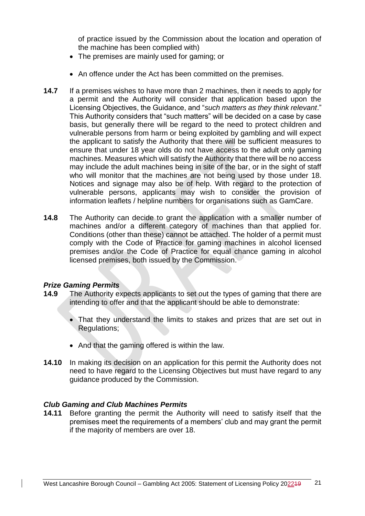of practice issued by the Commission about the location and operation of the machine has been complied with)

- The premises are mainly used for gaming; or
- An offence under the Act has been committed on the premises.
- **14.7** If a premises wishes to have more than 2 machines, then it needs to apply for a permit and the Authority will consider that application based upon the Licensing Objectives, the Guidance, and "*such matters as they think relevant*." This Authority considers that "such matters" will be decided on a case by case basis, but generally there will be regard to the need to protect children and vulnerable persons from harm or being exploited by gambling and will expect the applicant to satisfy the Authority that there will be sufficient measures to ensure that under 18 year olds do not have access to the adult only gaming machines. Measures which will satisfy the Authority that there will be no access may include the adult machines being in site of the bar, or in the sight of staff who will monitor that the machines are not being used by those under 18. Notices and signage may also be of help. With regard to the protection of vulnerable persons, applicants may wish to consider the provision of information leaflets / helpline numbers for organisations such as GamCare.
- **14.8** The Authority can decide to grant the application with a smaller number of machines and/or a different category of machines than that applied for. Conditions (other than these) cannot be attached. The holder of a permit must comply with the Code of Practice for gaming machines in alcohol licensed premises and/or the Code of Practice for equal chance gaming in alcohol licensed premises, both issued by the Commission.

# *Prize Gaming Permits*

- **14.9** The Authority expects applicants to set out the types of gaming that there are intending to offer and that the applicant should be able to demonstrate:
	- That they understand the limits to stakes and prizes that are set out in Regulations;
	- And that the gaming offered is within the law.
- **14.10** In making its decision on an application for this permit the Authority does not need to have regard to the Licensing Objectives but must have regard to any guidance produced by the Commission.

# *Club Gaming and Club Machines Permits*

**14.11** Before granting the permit the Authority will need to satisfy itself that the premises meet the requirements of a members' club and may grant the permit if the majority of members are over 18.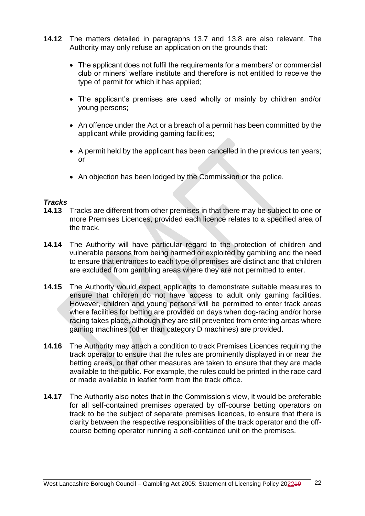- **14.12** The matters detailed in paragraphs 13.7 and 13.8 are also relevant. The Authority may only refuse an application on the grounds that:
	- The applicant does not fulfil the requirements for a members' or commercial club or miners' welfare institute and therefore is not entitled to receive the type of permit for which it has applied;
	- The applicant's premises are used wholly or mainly by children and/or young persons;
	- An offence under the Act or a breach of a permit has been committed by the applicant while providing gaming facilities;
	- A permit held by the applicant has been cancelled in the previous ten years; or
	- An objection has been lodged by the Commission or the police.

#### *Tracks*

- **14.13** Tracks are different from other premises in that there may be subject to one or more Premises Licences, provided each licence relates to a specified area of the track.
- **14.14** The Authority will have particular regard to the protection of children and vulnerable persons from being harmed or exploited by gambling and the need to ensure that entrances to each type of premises are distinct and that children are excluded from gambling areas where they are not permitted to enter.
- **14.15** The Authority would expect applicants to demonstrate suitable measures to ensure that children do not have access to adult only gaming facilities. However, children and young persons will be permitted to enter track areas where facilities for betting are provided on days when dog-racing and/or horse racing takes place, although they are still prevented from entering areas where gaming machines (other than category D machines) are provided.
- **14.16** The Authority may attach a condition to track Premises Licences requiring the track operator to ensure that the rules are prominently displayed in or near the betting areas, or that other measures are taken to ensure that they are made available to the public. For example, the rules could be printed in the race card or made available in leaflet form from the track office.
- **14.17** The Authority also notes that in the Commission's view, it would be preferable for all self-contained premises operated by off-course betting operators on track to be the subject of separate premises licences, to ensure that there is clarity between the respective responsibilities of the track operator and the offcourse betting operator running a self-contained unit on the premises.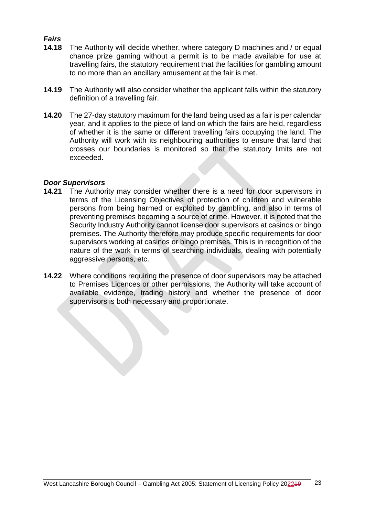# *Fairs*

- **14.18** The Authority will decide whether, where category D machines and / or equal chance prize gaming without a permit is to be made available for use at travelling fairs, the statutory requirement that the facilities for gambling amount to no more than an ancillary amusement at the fair is met.
- **14.19** The Authority will also consider whether the applicant falls within the statutory definition of a travelling fair.
- **14.20** The 27-day statutory maximum for the land being used as a fair is per calendar year, and it applies to the piece of land on which the fairs are held, regardless of whether it is the same or different travelling fairs occupying the land. The Authority will work with its neighbouring authorities to ensure that land that crosses our boundaries is monitored so that the statutory limits are not exceeded.

### *Door Supervisors*

- **14.21** The Authority may consider whether there is a need for door supervisors in terms of the Licensing Objectives of protection of children and vulnerable persons from being harmed or exploited by gambling, and also in terms of preventing premises becoming a source of crime. However, it is noted that the Security Industry Authority cannot license door supervisors at casinos or bingo premises. The Authority therefore may produce specific requirements for door supervisors working at casinos or bingo premises. This is in recognition of the nature of the work in terms of searching individuals, dealing with potentially aggressive persons, etc.
- <span id="page-23-0"></span>**14.22** Where conditions requiring the presence of door supervisors may be attached to Premises Licences or other permissions, the Authority will take account of available evidence, trading history and whether the presence of door supervisors is both necessary and proportionate.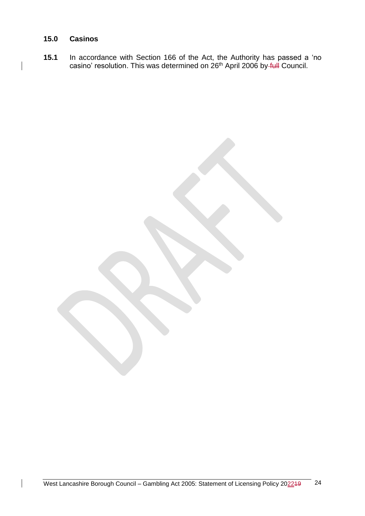# **15.0 Casinos**

**15.1** In accordance with Section 166 of the Act, the Authority has passed a 'no casino' resolution. This was determined on 26<sup>th</sup> April 2006 by full Council.

West Lancashire Borough Council – Gambling Act 2005: Statement of Licensing Policy 202249 24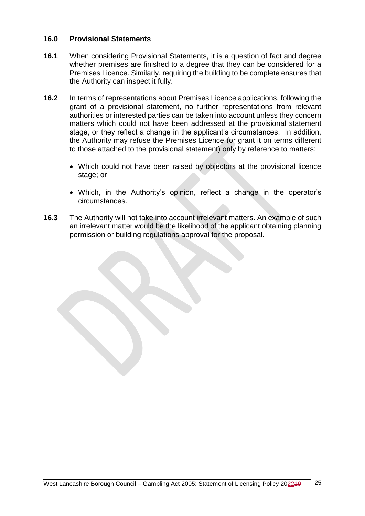### <span id="page-25-0"></span>**16.0 Provisional Statements**

- **16.1** When considering Provisional Statements, it is a question of fact and degree whether premises are finished to a degree that they can be considered for a Premises Licence. Similarly, requiring the building to be complete ensures that the Authority can inspect it fully.
- **16.2** In terms of representations about Premises Licence applications, following the grant of a provisional statement, no further representations from relevant authorities or interested parties can be taken into account unless they concern matters which could not have been addressed at the provisional statement stage, or they reflect a change in the applicant's circumstances. In addition, the Authority may refuse the Premises Licence (or grant it on terms different to those attached to the provisional statement) only by reference to matters:
	- Which could not have been raised by objectors at the provisional licence stage; or
	- Which, in the Authority's opinion, reflect a change in the operator's circumstances.
- <span id="page-25-1"></span>**16.3** The Authority will not take into account irrelevant matters. An example of such an irrelevant matter would be the likelihood of the applicant obtaining planning permission or building regulations approval for the proposal.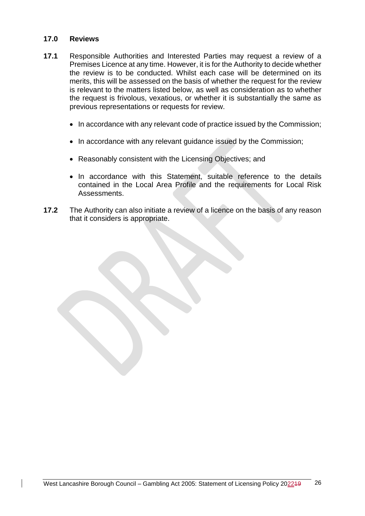#### **17.0 Reviews**

- **17.1** Responsible Authorities and Interested Parties may request a review of a Premises Licence at any time. However, it is for the Authority to decide whether the review is to be conducted. Whilst each case will be determined on its merits, this will be assessed on the basis of whether the request for the review is relevant to the matters listed below, as well as consideration as to whether the request is frivolous, vexatious, or whether it is substantially the same as previous representations or requests for review.
	- In accordance with any relevant code of practice issued by the Commission;
	- In accordance with any relevant guidance issued by the Commission;
	- Reasonably consistent with the Licensing Objectives; and
	- In accordance with this Statement, suitable reference to the details contained in the Local Area Profile and the requirements for Local Risk Assessments.
- <span id="page-26-0"></span>**17.2** The Authority can also initiate a review of a licence on the basis of any reason that it considers is appropriate.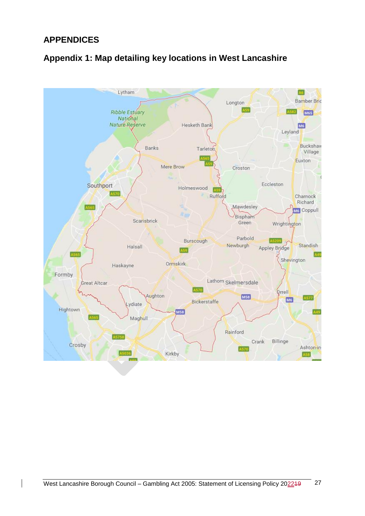# **APPENDICES**



# <span id="page-27-0"></span>**Appendix 1: Map detailing key locations in West Lancashire**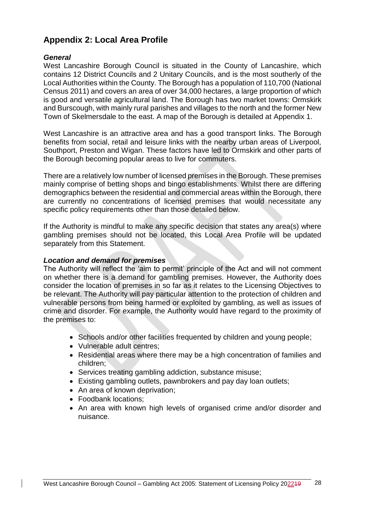# <span id="page-28-0"></span>**Appendix 2: Local Area Profile**

#### *General*

West Lancashire Borough Council is situated in the County of Lancashire, which contains 12 District Councils and 2 Unitary Councils, and is the most southerly of the Local Authorities within the County. The Borough has a population of 110,700 (National Census 2011) and covers an area of over 34,000 hectares, a large proportion of which is good and versatile agricultural land. The Borough has two market towns: Ormskirk and Burscough, with mainly rural parishes and villages to the north and the former New Town of Skelmersdale to the east. A map of the Borough is detailed at Appendix 1.

West Lancashire is an attractive area and has a good transport links. The Borough benefits from social, retail and leisure links with the nearby urban areas of Liverpool, Southport, Preston and Wigan. These factors have led to Ormskirk and other parts of the Borough becoming popular areas to live for commuters.

There are a relatively low number of licensed premises in the Borough. These premises mainly comprise of betting shops and bingo establishments. Whilst there are differing demographics between the residential and commercial areas within the Borough, there are currently no concentrations of licensed premises that would necessitate any specific policy requirements other than those detailed below.

If the Authority is mindful to make any specific decision that states any area(s) where gambling premises should not be located, this Local Area Profile will be updated separately from this Statement.

#### *Location and demand for premises*

The Authority will reflect the 'aim to permit' principle of the Act and will not comment on whether there is a demand for gambling premises. However, the Authority does consider the location of premises in so far as it relates to the Licensing Objectives to be relevant. The Authority will pay particular attention to the protection of children and vulnerable persons from being harmed or exploited by gambling, as well as issues of crime and disorder. For example, the Authority would have regard to the proximity of the premises to:

- Schools and/or other facilities frequented by children and young people;
- Vulnerable adult centres;
- Residential areas where there may be a high concentration of families and children;
- Services treating gambling addiction, substance misuse;
- Existing gambling outlets, pawnbrokers and pay day loan outlets;
- An area of known deprivation;
- Foodbank locations:
- An area with known high levels of organised crime and/or disorder and nuisance.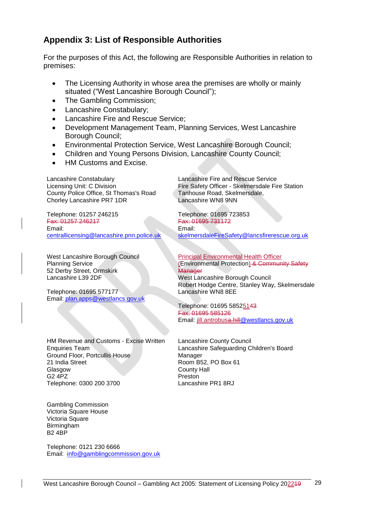# <span id="page-29-0"></span>**Appendix 3: List of Responsible Authorities**

For the purposes of this Act, the following are Responsible Authorities in relation to premises:

- The Licensing Authority in whose area the premises are wholly or mainly situated ("West Lancashire Borough Council");
- The Gambling Commission;
- Lancashire Constabulary;
- Lancashire Fire and Rescue Service;
- Development Management Team, Planning Services, West Lancashire Borough Council;
- Environmental Protection Service, West Lancashire Borough Council;
- Children and Young Persons Division, Lancashire County Council;
- HM Customs and Excise.

Lancashire Constabulary Licensing Unit: C Division County Police Office, St Thomas's Road Chorley Lancashire PR7 1DR

Telephone: 01257 246215 Fax: 01257 246217 Email: [centrallicensing@lancashire.pnn.police.uk](mailto:centrallicensing@lancashire.pnn.police.uk)

West Lancashire Borough Council Planning Service 52 Derby Street, Ormskirk Lancashire L39 2DF

Telephone: 01695 577177 Email: [plan.apps@westlancs.gov.uk](mailto:plan.apps@westlancs.gov.uk)

HM Revenue and Customs - Excise Written Enquiries Team Ground Floor, Portcullis House 21 India Street Glasgow G2 4PZ Telephone: 0300 200 3700

Gambling Commission Victoria Square House Victoria Square Birmingham B2 4BP

Telephone: 0121 230 6666 Email: [info@gamblingcommission.gov.uk](mailto:info@gamblingcommission.gov.uk) Lancashire Fire and Rescue Service Fire Safety Officer - Skelmersdale Fire Station Tanhouse Road, Skelmersdale, Lancashire WN8 9NN

Telephone: 01695 723853 Fax: 01695 731172 Email: [skelmersdaleFireSafety@lancsfirerescue.org.uk](mailto:skelmersdaleFireSafety@lancsfirerescue.org.uk)

Principal Environmental Health Officer (Environmental Protection) & Community Safety **Manager** West Lancashire Borough Council Robert Hodge Centre, Stanley Way, Skelmersdale Lancashire WN8 8EE

Telephone: 01695 58525143 Fax: 01695 585126 Email: jill.antrobu[sa.hill@westlancs.gov.uk](mailto:@westlancs.gov.uk)

Lancashire County Council Lancashire Safeguarding Children's Board Manager Room B52, PO Box 61 County Hall Preston Lancashire PR1 8RJ